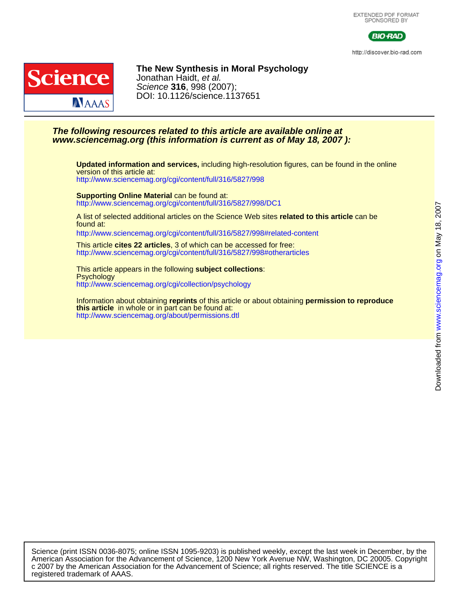

http://discover.bio-rad.com



DOI: 10.1126/science.1137651 Science **316**, 998 (2007); Jonathan Haidt, et al. **The New Synthesis in Moral Psychology**

### **www.sciencemag.org (this information is current as of May 18, 2007 ): The following resources related to this article are available online at**

<http://www.sciencemag.org/cgi/content/full/316/5827/998> version of this article at: **Updated information and services,** including high-resolution figures, can be found in the online

<http://www.sciencemag.org/cgi/content/full/316/5827/998/DC1> **Supporting Online Material** can be found at:

found at: A list of selected additional articles on the Science Web sites **related to this article** can be

<http://www.sciencemag.org/cgi/content/full/316/5827/998#related-content>

<http://www.sciencemag.org/cgi/content/full/316/5827/998#otherarticles> This article **cites 22 articles**, 3 of which can be accessed for free:

<http://www.sciencemag.org/cgi/collection/psychology> **Psychology** This article appears in the following **subject collections**:

<http://www.sciencemag.org/about/permissions.dtl> **this article** in whole or in part can be found at: Information about obtaining **reprints** of this article or about obtaining **permission to reproduce**

registered trademark of AAAS. c 2007 by the American Association for the Advancement of Science; all rights reserved. The title SCIENCE is a American Association for the Advancement of Science, 1200 New York Avenue NW, Washington, DC 20005. Copyright Science (print ISSN 0036-8075; online ISSN 1095-9203) is published weekly, except the last week in December, by the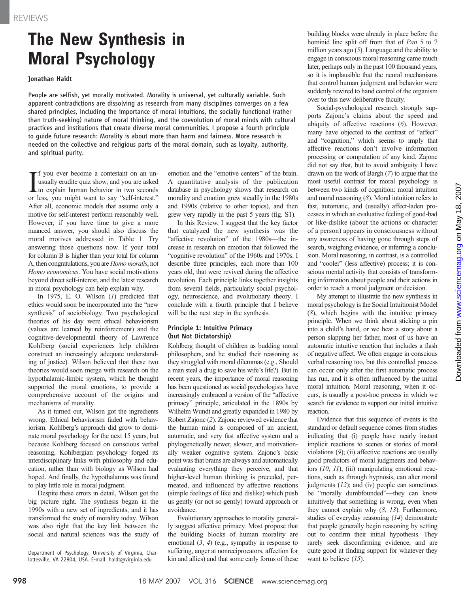# The New Synthesis in Moral Psychology

Jonathan Haidt

People are selfish, yet morally motivated. Morality is universal, yet culturally variable. Such apparent contradictions are dissolving as research from many disciplines converges on a few shared principles, including the importance of moral intuitions, the socially functional (rather than truth-seeking) nature of moral thinking, and the coevolution of moral minds with cultural practices and institutions that create diverse moral communities. I propose a fourth principle to guide future research: Morality is about more than harm and fairness. More research is needed on the collective and religious parts of the moral domain, such as loyalty, authority, and spiritual purity.

If you ever become a contestant on an un-<br>usually erudite quiz show, and you are asked<br>to explain human behavior in two seconds<br>or less you might want to say "self-interest" f you ever become a contestant on an unusually erudite quiz show, and you are asked or less, you might want to say "self-interest." After all, economic models that assume only a motive for self-interest perform reasonably well. However, if you have time to give a more nuanced answer, you should also discuss the moral motives addressed in Table 1. Try answering those questions now. If your total for column B is higher than your total for column A, then congratulations, you are Homo moralis, not Homo economicus. You have social motivations beyond direct self-interest, and the latest research in moral psychology can help explain why.

In 1975, E. O. Wilson  $(1)$  predicted that ethics would soon be incorporated into the "new synthesis" of sociobiology. Two psychological theories of his day were ethical behaviorism (values are learned by reinforcement) and the cognitive-developmental theory of Lawrence Kohlberg (social experiences help children construct an increasingly adequate understanding of justice). Wilson believed that these two theories would soon merge with research on the hypothalamic-limbic system, which he thought supported the moral emotions, to provide a comprehensive account of the origins and mechanisms of morality.

As it turned out, Wilson got the ingredients wrong. Ethical behaviorism faded with behaviorism. Kohlberg's approach did grow to dominate moral psychology for the next 15 years, but because Kohlberg focused on conscious verbal reasoning, Kohlbergian psychology forged its interdisciplinary links with philosophy and education, rather than with biology as Wilson had hoped. And finally, the hypothalamus was found to play little role in moral judgment.

Despite these errors in detail, Wilson got the big picture right. The synthesis began in the 1990s with a new set of ingredients, and it has transformed the study of morality today. Wilson was also right that the key link between the social and natural sciences was the study of

emotion and the "emotive centers" of the brain. A quantitative analysis of the publication database in psychology shows that research on morality and emotion grew steadily in the 1980s and 1990s (relative to other topics), and then grew very rapidly in the past 5 years (fig. S1).

In this Review, I suggest that the key factor that catalyzed the new synthesis was the "affective revolution" of the 1980s—the increase in research on emotion that followed the "cognitive revolution" of the 1960s and 1970s. I describe three principles, each more than 100 years old, that were revived during the affective revolution. Each principle links together insights from several fields, particularly social psychology, neuroscience, and evolutionary theory. I conclude with a fourth principle that I believe will be the next step in the synthesis.

### Principle 1: Intuitive Primacy (but Not Dictatorship)

Kohlberg thought of children as budding moral philosophers, and he studied their reasoning as they struggled with moral dilemmas (e.g., Should a man steal a drug to save his wife's life?). But in recent years, the importance of moral reasoning has been questioned as social psychologists have increasingly embraced a version of the "affective primacy" principle, articulated in the 1890s by Wilhelm Wundt and greatly expanded in 1980 by Robert Zajonc (2). Zajonc reviewed evidence that the human mind is composed of an ancient, automatic, and very fast affective system and a phylogenetically newer, slower, and motivationally weaker cognitive system. Zajonc's basic point was that brains are always and automatically evaluating everything they perceive, and that higher-level human thinking is preceded, permeated, and influenced by affective reactions (simple feelings of like and dislike) which push us gently (or not so gently) toward approach or avoidance.

Evolutionary approaches to morality generally suggest affective primacy. Most propose that the building blocks of human morality are emotional  $(3, 4)$  (e.g., sympathy in response to suffering, anger at nonreciprocators, affection for kin and allies) and that some early forms of these

building blocks were already in place before the hominid line split off from that of Pan 5 to 7 million years ago (5). Language and the ability to engage in conscious moral reasoning came much later, perhaps only in the past 100 thousand years, so it is implausible that the neural mechanisms that control human judgment and behavior were suddenly rewired to hand control of the organism over to this new deliberative faculty.

Social-psychological research strongly supports Zajonc's claims about the speed and ubiquity of affective reactions (6). However, many have objected to the contrast of "affect" and "cognition," which seems to imply that affective reactions don't involve information processing or computation of any kind. Zajonc did not say that, but to avoid ambiguity I have drawn on the work of Bargh (7) to argue that the most useful contrast for moral psychology is between two kinds of cognition: moral intuition and moral reasoning (8). Moral intuition refers to fast, automatic, and (usually) affect-laden processes in which an evaluative feeling of good-bad or like-dislike (about the actions or character of a person) appears in consciousness without any awareness of having gone through steps of search, weighing evidence, or inferring a conclusion. Moral reasoning, in contrast, is a controlled and "cooler" (less affective) process; it is conscious mental activity that consists of transforming information about people and their actions in order to reach a moral judgment or decision.

My attempt to illustrate the new synthesis in moral psychology is the Social Intuitionist Model (8), which begins with the intuitive primacy principle. When we think about sticking a pin into a child's hand, or we hear a story about a person slapping her father, most of us have an automatic intuitive reaction that includes a flash of negative affect. We often engage in conscious verbal reasoning too, but this controlled process can occur only after the first automatic process has run, and it is often influenced by the initial moral intuition. Moral reasoning, when it occurs, is usually a post-hoc process in which we search for evidence to support our initial intuitive reaction.

Evidence that this sequence of events is the standard or default sequence comes from studies indicating that (i) people have nearly instant implicit reactions to scenes or stories of moral violations  $(9)$ ; (ii) affective reactions are usually good predictors of moral judgments and behaviors (10, 11); (iii) manipulating emotional reactions, such as through hypnosis, can alter moral judgments  $(12)$ ; and  $(iv)$  people can sometimes be "morally dumbfounded"—they can know intuitively that something is wrong, even when they cannot explain why  $(8, 13)$ . Furthermore, studies of everyday reasoning (14) demonstrate that people generally begin reasoning by setting out to confirm their initial hypothesis. They rarely seek disconfirming evidence, and are quite good at finding support for whatever they want to believe (15).

Department of Psychology, University of Virginia, Charlottesville, VA 22904, USA. E-mail: haidt@virginia.edu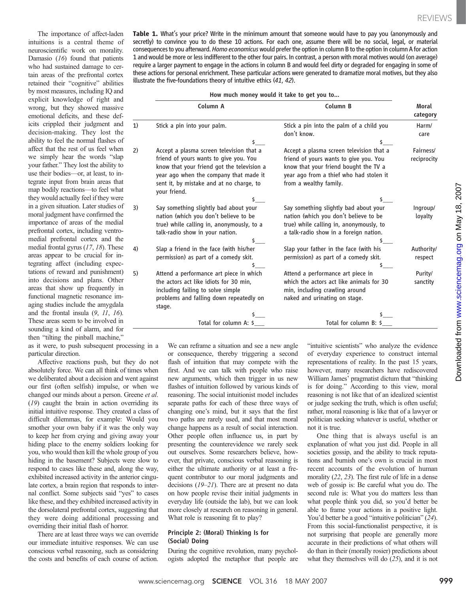The importance of affect-laden intuitions is a central theme of neuroscientific work on morality. Damasio (16) found that patients who had sustained damage to certain areas of the prefrontal cortex retained their "cognitive" abilities by most measures, including IQ and explicit knowledge of right and wrong, but they showed massive emotional deficits, and these deficits crippled their judgment and decision-making. They lost the ability to feel the normal flashes of affect that the rest of us feel when we simply hear the words "slap your father." They lost the ability to use their bodies—or, at least, to integrate input from brain areas that map bodily reactions—to feel what they would actually feel if they were in a given situation. Later studies of moral judgment have confirmed the importance of areas of the medial prefrontal cortex, including ventromedial prefrontal cortex and the medial frontal gyrus (17, 18). These areas appear to be crucial for integrating affect (including expectations of reward and punishment) into decisions and plans. Other areas that show up frequently in functional magnetic resonance imaging studies include the amygdala and the frontal insula (9, 11, 16). These areas seem to be involved in sounding a kind of alarm, and for then "tilting the pinball machine,"

as it were, to push subsequent processing in a particular direction.

Affective reactions push, but they do not absolutely force. We can all think of times when we deliberated about a decision and went against our first (often selfish) impulse, or when we changed our minds about a person. Greene et al. (19) caught the brain in action overriding its initial intuitive response. They created a class of difficult dilemmas, for example: Would you smother your own baby if it was the only way to keep her from crying and giving away your hiding place to the enemy soldiers looking for you, who would then kill the whole group of you hiding in the basement? Subjects were slow to respond to cases like these and, along the way, exhibited increased activity in the anterior cingulate cortex, a brain region that responds to internal conflict. Some subjects said "yes" to cases like these, and they exhibited increased activity in the dorsolateral prefrontal cortex, suggesting that they were doing additional processing and overriding their initial flash of horror.

There are at least three ways we can override our immediate intuitive responses. We can use conscious verbal reasoning, such as considering the costs and benefits of each course of action.

Table 1. What's your price? Write in the minimum amount that someone would have to pay you (anonymously and secretly) to convince you to do these 10 actions. For each one, assume there will be no social, legal, or material consequences to you afterward. Homo economicus would prefer the option in column B to the option in column A for action 1 and would be more or less indifferent to the other four pairs. In contrast, a person with moral motives would (on average) require a larger payment to engage in the actions in column B and would feel dirty or degraded for engaging in some of these actions for personal enrichment. These particular actions were generated to dramatize moral motives, but they also illustrate the five-foundations theory of intuitive ethics (41, 42).

How much money would it take to get you to...

|    | Column A                                                 | Column B                                                | <b>Moral</b><br>category |
|----|----------------------------------------------------------|---------------------------------------------------------|--------------------------|
| 1) | Stick a pin into your palm.                              | Stick a pin into the palm of a child you<br>don't know. | Harm/<br>care            |
|    |                                                          |                                                         |                          |
| 2) | Accept a plasma screen television that a                 | Accept a plasma screen television that a                | Fairness/                |
|    | friend of yours wants to give you. You                   | friend of yours wants to give you. You                  | reciprocity              |
|    | know that your friend got the television a               | know that your friend bought the TV a                   |                          |
|    | year ago when the company that made it                   | year ago from a thief who had stolen it                 |                          |
|    | sent it, by mistake and at no charge, to<br>your friend. | from a wealthy family.                                  |                          |
|    |                                                          | Ŝ.                                                      |                          |
| 3) | Say something slightly bad about your                    | Say something slightly bad about your                   | Ingroup/                 |
|    | nation (which you don't believe to be                    | nation (which you don't believe to be                   | loyalty                  |
|    | true) while calling in, anonymously, to a                | true) while calling in, anonymously, to                 |                          |
|    | talk-radio show in your nation.                          | a talk-radio show in a foreign nation.                  |                          |
|    |                                                          |                                                         |                          |
| 4) | Slap a friend in the face (with his/her                  | Slap your father in the face (with his                  | Authority/               |
|    | permission) as part of a comedy skit.                    | permission) as part of a comedy skit.                   | respect                  |
|    |                                                          |                                                         |                          |
| 5) | Attend a performance art piece in which                  | Attend a performance art piece in                       | Purity/                  |
|    | the actors act like idiots for 30 min,                   | which the actors act like animals for 30                | sanctity                 |
|    | including failing to solve simple                        | min, including crawling around                          |                          |
|    | problems and falling down repeatedly on<br>stage.        | naked and urinating on stage.                           |                          |
|    |                                                          |                                                         |                          |
|    | Total for column A: \$                                   | Total for column B: \$                                  |                          |
|    |                                                          |                                                         |                          |

We can reframe a situation and see a new angle or consequence, thereby triggering a second flash of intuition that may compete with the first. And we can talk with people who raise new arguments, which then trigger in us new flashes of intuition followed by various kinds of reasoning. The social intuitionist model includes separate paths for each of these three ways of changing one's mind, but it says that the first two paths are rarely used, and that most moral change happens as a result of social interaction. Other people often influence us, in part by presenting the counterevidence we rarely seek out ourselves. Some researchers believe, however, that private, conscious verbal reasoning is either the ultimate authority or at least a frequent contributor to our moral judgments and decisions (19–21). There are at present no data on how people revise their initial judgments in everyday life (outside the lab), but we can look more closely at research on reasoning in general. What role is reasoning fit to play?

#### Principle 2: (Moral) Thinking Is for (Social) Doing

During the cognitive revolution, many psychologists adopted the metaphor that people are

"intuitive scientists" who analyze the evidence of everyday experience to construct internal representations of reality. In the past 15 years, however, many researchers have rediscovered William James' pragmatist dictum that "thinking is for doing." According to this view, moral reasoning is not like that of an idealized scientist or judge seeking the truth, which is often useful; rather, moral reasoning is like that of a lawyer or politician seeking whatever is useful, whether or not it is true.

One thing that is always useful is an explanation of what you just did. People in all societies gossip, and the ability to track reputations and burnish one's own is crucial in most recent accounts of the evolution of human morality (22, 23). The first rule of life in a dense web of gossip is: Be careful what you do. The second rule is: What you do matters less than what people think you did, so you'd better be able to frame your actions in a positive light. You'd better be a good "intuitive politician" (24). From this social-functionalist perspective, it is not surprising that people are generally more accurate in their predictions of what others will do than in their (morally rosier) predictions about what they themselves will do  $(25)$ , and it is not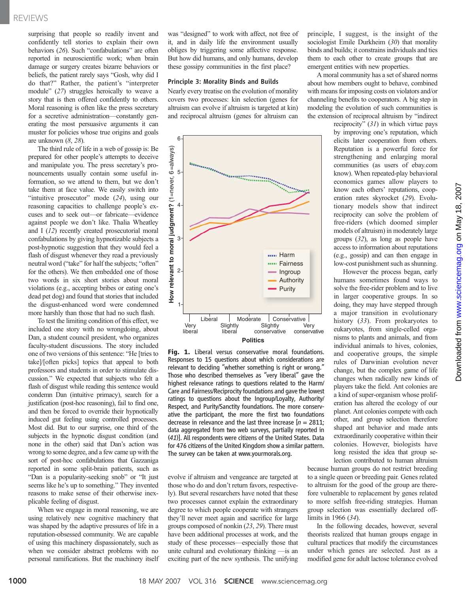surprising that people so readily invent and confidently tell stories to explain their own behaviors (26). Such "confabulations" are often reported in neuroscientific work; when brain damage or surgery creates bizarre behaviors or beliefs, the patient rarely says "Gosh, why did I do that?" Rather, the patient's "interpreter module" (27) struggles heroically to weave a story that is then offered confidently to others. Moral reasoning is often like the press secretary for a secretive administration—constantly generating the most persuasive arguments it can muster for policies whose true origins and goals are unknown (8, 28).

The third rule of life in a web of gossip is: Be prepared for other people's attempts to deceive and manipulate you. The press secretary's pronouncements usually contain some useful information, so we attend to them, but we don't take them at face value. We easily switch into "intuitive prosecutor" mode (24), using our reasoning capacities to challenge people's excuses and to seek out—or fabricate—evidence against people we don't like. Thalia Wheatley and I (12) recently created prosecutorial moral confabulations by giving hypnotizable subjects a post-hypnotic suggestion that they would feel a flash of disgust whenever they read a previously neutral word ("take" for half the subjects; "often" for the others). We then embedded one of those two words in six short stories about moral violations (e.g., accepting bribes or eating one's dead pet dog) and found that stories that included the disgust-enhanced word were condemned more harshly than those that had no such flash.

To test the limiting condition of this effect, we included one story with no wrongdoing, about Dan, a student council president, who organizes faculty-student discussions. The story included one of two versions of this sentence: "He [tries to take]/[often picks] topics that appeal to both professors and students in order to stimulate discussion." We expected that subjects who felt a flash of disgust while reading this sentence would condemn Dan (intuitive primacy), search for a justification (post-hoc reasoning), fail to find one, and then be forced to override their hypnotically induced gut feeling using controlled processes. Most did. But to our surprise, one third of the subjects in the hypnotic disgust condition (and none in the other) said that Dan's action was wrong to some degree, and a few came up with the sort of post-hoc confabulations that Gazzaniga reported in some split-brain patients, such as "Dan is a popularity-seeking snob" or "It just seems like he's up to something." They invented reasons to make sense of their otherwise inexplicable feeling of disgust.

When we engage in moral reasoning, we are using relatively new cognitive machinery that was shaped by the adaptive pressures of life in a reputation-obsessed community. We are capable of using this machinery dispassionately, such as when we consider abstract problems with no personal ramifications. But the machinery itself was "designed" to work with affect, not free of it, and in daily life the environment usually obliges by triggering some affective response. But how did humans, and only humans, develop these gossipy communities in the first place?

#### Principle 3: Morality Binds and Builds

Nearly every treatise on the evolution of morality covers two processes: kin selection (genes for altruism can evolve if altruism is targeted at kin) and reciprocal altruism (genes for altruism can



Fig. 1. Liberal versus conservative moral foundations. Responses to 15 questions about which considerations are relevant to deciding "whether something is right or wrong." Those who described themselves as "very liberal" gave the highest relevance ratings to questions related to the Harm/ Care and Fairness/Reciprocity foundations and gave the lowest ratings to questions about the Ingroup/Loyalty, Authority/ Respect, and Purity/Sanctity foundations. The more conservative the participant, the more the first two foundations decrease in relevance and the last three increase  $[n = 2811;$ data aggregated from two web surveys, partially reported in (41)]. All respondents were citizens of the United States. Data for 476 citizens of the United Kingdom show a similar pattern. The survey can be taken at www.yourmorals.org.

evolve if altruism and vengeance are targeted at those who do and don't return favors, respectively). But several researchers have noted that these two processes cannot explain the extraordinary degree to which people cooperate with strangers they'll never meet again and sacrifice for large groups composed of nonkin (23, 29). There must have been additional processes at work, and the study of these processes—especially those that unite cultural and evolutionary thinking —is an exciting part of the new synthesis. The unifying

principle, I suggest, is the insight of the sociologist Emile Durkheim (30) that morality binds and builds; it constrains individuals and ties them to each other to create groups that are emergent entities with new properties.

A moral community has a set of shared norms about how members ought to behave, combined with means for imposing costs on violators and/or channeling benefits to cooperators. A big step in modeling the evolution of such communities is the extension of reciprocal altruism by "indirect

> reciprocity" (31) in which virtue pays by improving one's reputation, which elicits later cooperation from others. Reputation is a powerful force for strengthening and enlarging moral communities (as users of ebay.com know). When repeated-play behavioral economics games allow players to know each others' reputations, cooperation rates skyrocket (29). Evolutionary models show that indirect reciprocity can solve the problem of free-riders (which doomed simpler models of altruism) in moderately large groups (32), as long as people have access to information about reputations (e.g., gossip) and can then engage in low-cost punishment such as shunning.

> However the process began, early humans sometimes found ways to solve the free-rider problem and to live in larger cooperative groups. In so doing, they may have stepped through a major transition in evolutionary history (33). From prokaryotes to eukaryotes, from single-celled organisms to plants and animals, and from individual animals to hives, colonies, and cooperative groups, the simple rules of Darwinian evolution never change, but the complex game of life changes when radically new kinds of players take the field. Ant colonies are a kind of super-organism whose proliferation has altered the ecology of our planet. Ant colonies compete with each other, and group selection therefore shaped ant behavior and made ants extraordinarily cooperative within their colonies. However, biologists have long resisted the idea that group selection contributed to human altruism

because human groups do not restrict breeding to a single queen or breeding pair. Genes related to altruism for the good of the group are therefore vulnerable to replacement by genes related to more selfish free-riding strategies. Human group selection was essentially declared offlimits in 1966 (34).

In the following decades, however, several theorists realized that human groups engage in cultural practices that modify the circumstances under which genes are selected. Just as a modified gene for adult lactose tolerance evolved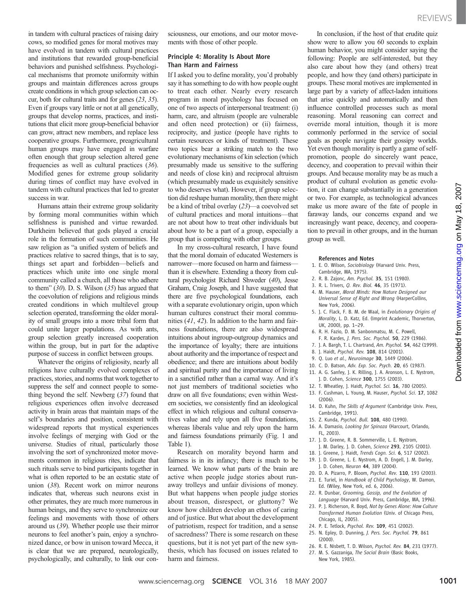www.sciencemag.orgon May 18, 2007

Downloaded from www.sciencemag.org on May 18, 2007

Downloaded from

in tandem with cultural practices of raising dairy cows, so modified genes for moral motives may have evolved in tandem with cultural practices and institutions that rewarded group-beneficial behaviors and punished selfishness. Psychological mechanisms that promote uniformity within groups and maintain differences across groups create conditions in which group selection can occur, both for cultural traits and for genes (23, 35). Even if groups vary little or not at all genetically, groups that develop norms, practices, and institutions that elicit more group-beneficial behavior can grow, attract new members, and replace less cooperative groups. Furthermore, preagricultural human groups may have engaged in warfare often enough that group selection altered gene frequencies as well as cultural practices (36). Modified genes for extreme group solidarity during times of conflict may have evolved in tandem with cultural practices that led to greater success in war.

Humans attain their extreme group solidarity by forming moral communities within which selfishness is punished and virtue rewarded. Durkheim believed that gods played a crucial role in the formation of such communities. He saw religion as "a unified system of beliefs and practices relative to sacred things, that is to say, things set apart and forbidden—beliefs and practices which unite into one single moral community called a church, all those who adhere to them"  $(30)$ . D. S. Wilson  $(35)$  has argued that the coevolution of religions and religious minds created conditions in which multilevel group selection operated, transforming the older morality of small groups into a more tribal form that could unite larger populations. As with ants, group selection greatly increased cooperation within the group, but in part for the adaptive purpose of success in conflict between groups.

Whatever the origins of religiosity, nearly all religions have culturally evolved complexes of practices, stories, and norms that work together to suppress the self and connect people to something beyond the self. Newberg (37) found that religious experiences often involve decreased activity in brain areas that maintain maps of the self's boundaries and position, consistent with widespread reports that mystical experiences involve feelings of merging with God or the universe. Studies of ritual, particularly those involving the sort of synchronized motor movements common in religious rites, indicate that such rituals serve to bind participants together in what is often reported to be an ecstatic state of union (38). Recent work on mirror neurons indicates that, whereas such neurons exist in other primates, they are much more numerous in human beings, and they serve to synchronize our feelings and movements with those of others around us (39). Whether people use their mirror neurons to feel another's pain, enjoy a synchronized dance, or bow in unison toward Mecca, it is clear that we are prepared, neurologically, psychologically, and culturally, to link our consciousness, our emotions, and our motor movements with those of other people.

#### Principle 4: Morality Is About More Than Harm and Fairness

If I asked you to define morality, you'd probably say it has something to do with how people ought to treat each other. Nearly every research program in moral psychology has focused on one of two aspects of interpersonal treatment: (i) harm, care, and altruism (people are vulnerable and often need protection) or (ii) fairness, reciprocity, and justice (people have rights to certain resources or kinds of treatment). These two topics bear a striking match to the two evolutionary mechanisms of kin selection (which presumably made us sensitive to the suffering and needs of close kin) and reciprocal altruism (which presumably made us exquisitely sensitive to who deserves what). However, if group selection did reshape human morality, then there might be a kind of tribal overlay (23)—a coevolved set of cultural practices and moral intuitions—that are not about how to treat other individuals but about how to be a part of a group, especially a group that is competing with other groups.

In my cross-cultural research, I have found that the moral domain of educated Westerners is narrower—more focused on harm and fairness than it is elsewhere. Extending a theory from cultural psychologist Richard Shweder (40), Jesse Graham, Craig Joseph, and I have suggested that there are five psychological foundations, each with a separate evolutionary origin, upon which human cultures construct their moral communities (41, 42). In addition to the harm and fairness foundations, there are also widespread intuitions about ingroup-outgroup dynamics and the importance of loyalty; there are intuitions about authority and the importance of respect and obedience; and there are intuitions about bodily and spiritual purity and the importance of living in a sanctified rather than a carnal way. And it's not just members of traditional societies who draw on all five foundations; even within Western societies, we consistently find an ideological effect in which religious and cultural conservatives value and rely upon all five foundations, whereas liberals value and rely upon the harm and fairness foundations primarily (Fig. 1 and Table 1).

Research on morality beyond harm and fairness is in its infancy; there is much to be learned. We know what parts of the brain are active when people judge stories about runaway trolleys and unfair divisions of money. But what happens when people judge stories about treason, disrespect, or gluttony? We know how children develop an ethos of caring and of justice. But what about the development of patriotism, respect for tradition, and a sense of sacredness? There is some research on these questions, but it is not yet part of the new synthesis, which has focused on issues related to harm and fairness.

In conclusion, if the host of that erudite quiz show were to allow you 60 seconds to explain human behavior, you might consider saying the following: People are self-interested, but they also care about how they (and others) treat people, and how they (and others) participate in groups. These moral motives are implemented in large part by a variety of affect-laden intuitions that arise quickly and automatically and then influence controlled processes such as moral reasoning. Moral reasoning can correct and override moral intuition, though it is more commonly performed in the service of social goals as people navigate their gossipy worlds. Yet even though morality is partly a game of selfpromotion, people do sincerely want peace, decency, and cooperation to prevail within their groups. And because morality may be as much a product of cultural evolution as genetic evolution, it can change substantially in a generation or two. For example, as technological advances make us more aware of the fate of people in faraway lands, our concerns expand and we increasingly want peace, decency, and cooperation to prevail in other groups, and in the human group as well.

#### References and Notes

- 1. E. O. Wilson, Sociobiology (Harvard Univ. Press, Cambridge, MA, 1975).
- 2. R. B. Zajonc, Am. Psychol. 35, 151 (1980).
- 3. R. L. Trivers, Q. Rev. Biol. 46, 35 (1971).
- 4. M. Hauser, Moral Minds: How Nature Designed our Universal Sense of Right and Wrong (HarperCollins, New York, 2006).
- 5. J. C. Flack, F. B. M. de Waal, in Evolutionary Origins of Morality, L. D. Katz, Ed. (Imprint Academic, Thorverton, UK, 2000), pp. 1–29.
- 6. R. H. Fazio, D. M. Sanbonmatsu, M. C. Powell, F. R. Kardes, J. Pers. Soc. Psychol. 50, 229 (1986).
- 7. J. A. Bargh, T. L. Chartrand, Am. Psychol. 54, 462 (1999).
- 8. J. Haidt, Psychol. Rev. 108, 814 (2001).
- 9. Q. Luo et al., Neuroimage 30, 1449 (2006).
- 10. C. D. Batson, Adv. Exp. Soc. Psych. 20, 65 (1987).
- 11. A. G. Sanfey, J. K. Rilling, J. A. Aronson, L. E. Nystrom, J. D. Cohen, Science 300, 1755 (2003).
- 12. T. Wheatley, J. Haidt, Psychol. Sci. 16, 780 (2005).
- 13. F. Cushman, L. Young, M. Hauser, Psychol. Sci. 17, 1082 (2006).
- 14. D. Kuhn, The Skills of Argument (Cambridge Univ. Press, Cambridge, 1991).
- 15. Z. Kunda, Psychol. Bull. 108, 480 (1990).
- 16. A. Damasio, Looking for Spinoza (Harcourt, Orlando, FL, 2003).
- 17. J. D. Greene, R. B. Sommerville, L. E. Nystrom, J. M. Darley, J. D. Cohen, Science 293, 2105 (2001).
- 18. J. Greene, J. Haidt, Trends Cogn. Sci. 6, 517 (2002).
- 19. J. D. Greene, L. E. Nystrom, A. D. Engell, J. M. Darley,
- J. D. Cohen, Neuron 44, 389 (2004).
- 20. D. A. Pizarro, P. Bloom, Psychol. Rev. 110, 193 (2003). 21. E. Turiel, in Handbook of Child Psychology, W. Damon,
- Ed. (Wiley, New York, ed. 6, 2006).
- 22. R. Dunbar, Grooming, Gossip, and the Evolution of Language (Harvard Univ. Press, Cambridge, MA, 1996).
- 23. P. J. Richerson, R. Boyd, Not by Genes Alone: How Culture Transformed Human Evolution (Univ. of Chicago Press, Chicago, IL, 2005).
- 24. P. E. Tetlock, Psychol. Rev. 109, 451 (2002).
- 25. N. Epley, D. Dunning, J. Pers. Soc. Psychol. 79, 861 (2000).
- 26. R. E. Nisbett, T. D. Wilson, Psychol. Rev. 84, 231 (1977).
- 27. M. S. Gazzaniga, The Social Brain (Basic Books, New York, 1985).